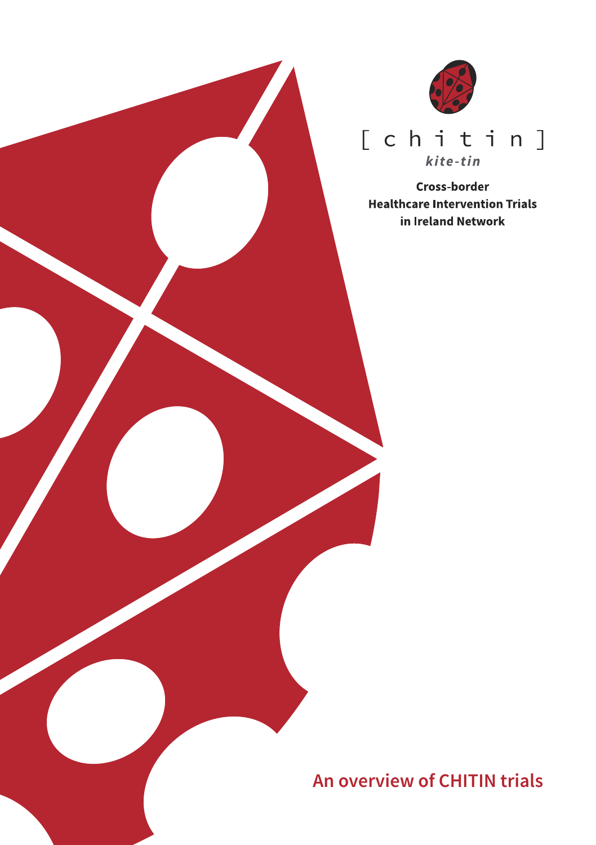

### $[ chit in ]$ kite-tin

Cross-border **Healthcare Intervention Trials** in Ireland Network

**An overview of CHITIN trials**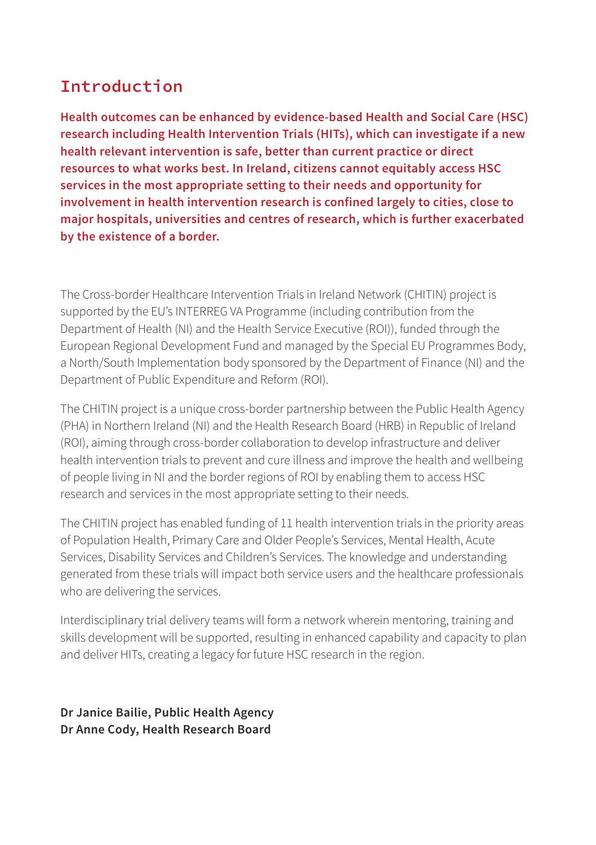### **Introduction**

**Health outcomes can be enhanced by evidence-based Health and Social Care (HSC) research including Health Intervention Trials (HITs), which can investigate if a new health relevant intervention is safe, better than current practice or direct resources to what works best. In Ireland, citizens cannot equitably access HSC services in the most appropriate setting to their needs and opportunity for involvement in health intervention research is confined largely to cities, close to major hospitals, universities and centres of research, which is further exacerbated by the existence of a border.**

The Cross-border Healthcare Intervention Trials in Ireland Network (CHITIN) project is supported by the EU's INTERREG VA Programme (including contribution from the Department of Health (NI) and the Health Service Executive (ROI)), funded through the European Regional Development Fund and managed by the Special EU Programmes Body, a North/South Implementation body sponsored by the Department of Finance (NI) and the Department of Public Expenditure and Reform (ROI).

The CHITIN project is a unique cross-border partnership between the Public Health Agency (PHA) in Northern Ireland (NI) and the Health Research Board (HRB) in Republic of Ireland (ROI), aiming through cross-border collaboration to develop infrastructure and deliver health intervention trials to prevent and cure illness and improve the health and wellbeing of people living in NI and the border regions of ROI by enabling them to access HSC research and services in the most appropriate setting to their needs.

The CHITIN project has enabled funding of 11 health intervention trials in the priority areas of Population Health, Primary Care and Older People's Services, Mental Health, Acute Services, Disability Services and Children's Services. The knowledge and understanding generated from these trials will impact both service users and the healthcare professionals who are delivering the services.

Interdisciplinary trial delivery teams will form a network wherein mentoring, training and skills development will be supported, resulting in enhanced capability and capacity to plan and deliver HITs, creating a legacy for future HSC research in the region.

**Dr Janice Bailie, Public Health Agency Dr Anne Cody, Health Research Board**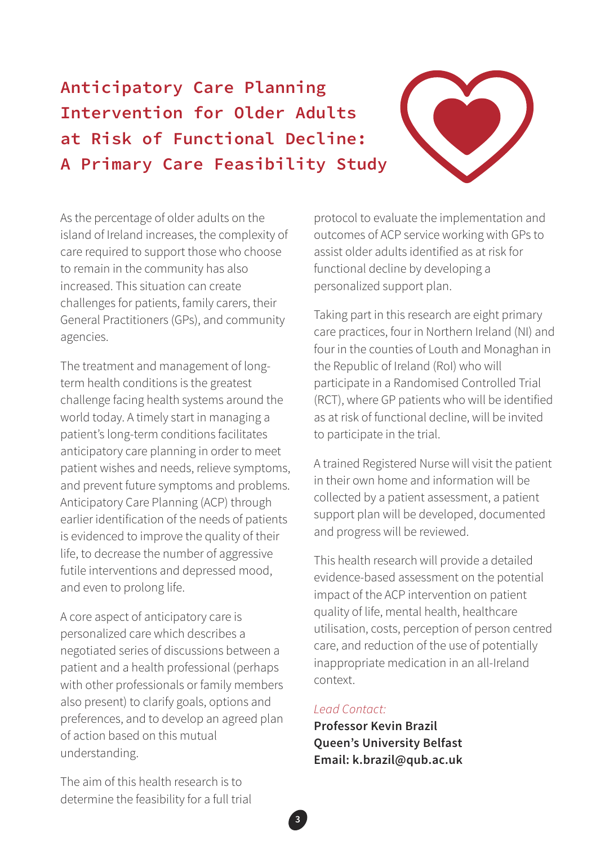## **Anticipatory Care Planning Intervention for Older Adults at Risk of Functional Decline: A Primary Care Feasibility Study**



As the percentage of older adults on the island of Ireland increases, the complexity of care required to support those who choose to remain in the community has also increased. This situation can create challenges for patients, family carers, their General Practitioners (GPs), and community agencies.

The treatment and management of longterm health conditions is the greatest challenge facing health systems around the world today. A timely start in managing a patient's long-term conditions facilitates anticipatory care planning in order to meet patient wishes and needs, relieve symptoms, and prevent future symptoms and problems. Anticipatory Care Planning (ACP) through earlier identification of the needs of patients is evidenced to improve the quality of their life, to decrease the number of aggressive futile interventions and depressed mood, and even to prolong life.

A core aspect of anticipatory care is personalized care which describes a negotiated series of discussions between a patient and a health professional (perhaps with other professionals or family members also present) to clarify goals, options and preferences, and to develop an agreed plan of action based on this mutual understanding.

protocol to evaluate the implementation and outcomes of ACP service working with GPs to assist older adults identified as at risk for functional decline by developing a personalized support plan.

Taking part in this research are eight primary care practices, four in Northern Ireland (NI) and four in the counties of Louth and Monaghan in the Republic of Ireland (RoI) who will participate in a Randomised Controlled Trial (RCT), where GP patients who will be identified as at risk of functional decline, will be invited to participate in the trial.

A trained Registered Nurse will visit the patient in their own home and information will be collected by a patient assessment, a patient support plan will be developed, documented and progress will be reviewed.

This health research will provide a detailed evidence-based assessment on the potential impact of the ACP intervention on patient quality of life, mental health, healthcare utilisation, costs, perception of person centred care, and reduction of the use of potentially inappropriate medication in an all-Ireland context.

#### *Lead Contact:*

**3**

**Professor Kevin Brazil Queen's University Belfast Email: k.brazil@qub.ac.uk**

The aim of this health research is to determine the feasibility for a full trial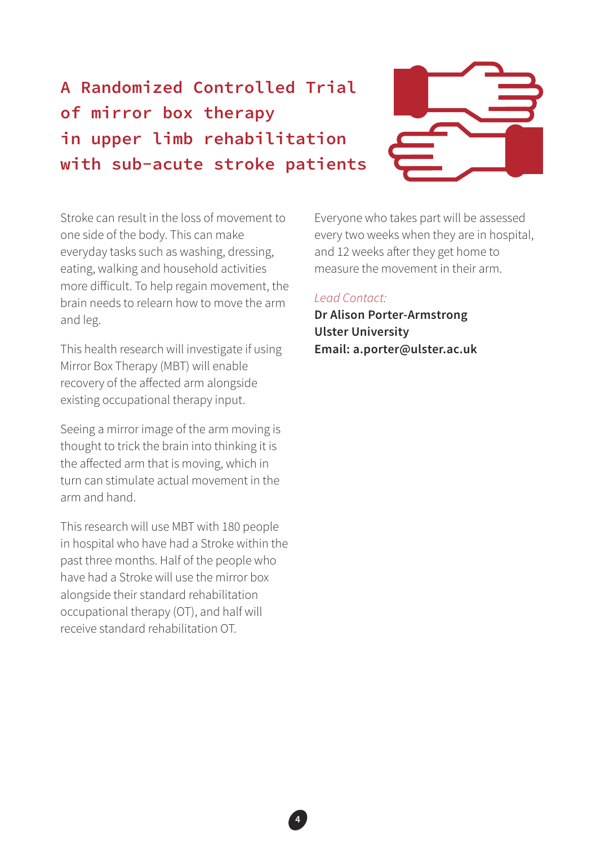# **A Randomized Controlled Trial of mirror box therapy in upper limb rehabilitation with sub-acute stroke patients**



Stroke can result in the loss of movement to one side of the body. This can make everyday tasks such as washing, dressing, eating, walking and household activities more difficult. To help regain movement, the brain needs to relearn how to move the arm and leg.

This health research will investigate if using Mirror Box Therapy (MBT) will enable recovery of the affected arm alongside existing occupational therapy input.

Seeing a mirror image of the arm moving is thought to trick the brain into thinking it is the affected arm that is moving, which in turn can stimulate actual movement in the arm and hand.

This research will use MBT with 180 people in hospital who have had a Stroke within the past three months. Half of the people who have had a Stroke will use the mirror box alongside their standard rehabilitation occupational therapy (OT), and half will receive standard rehabilitation OT.

Everyone who takes part will be assessed every two weeks when they are in hospital, and 12 weeks after they get home to measure the movement in their arm.

### *Lead Contact:*

**4**

**Dr Alison Porter-Armstrong Ulster University Email: a.porter@ulster.ac.uk**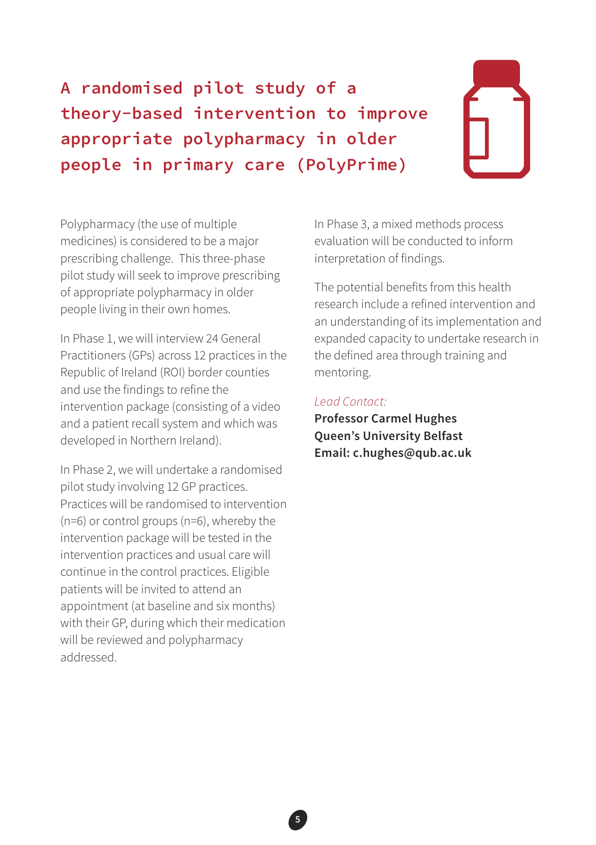**A randomised pilot study of a theory-based intervention to improve appropriate polypharmacy in older people in primary care (PolyPrime)**

Polypharmacy (the use of multiple medicines) is considered to be a major prescribing challenge. This three-phase pilot study will seek to improve prescribing of appropriate polypharmacy in older people living in their own homes.

In Phase 1, we will interview 24 General Practitioners (GPs) across 12 practices in the Republic of Ireland (ROI) border counties and use the findings to refine the intervention package (consisting of a video and a patient recall system and which was developed in Northern Ireland).

In Phase 2, we will undertake a randomised pilot study involving 12 GP practices. Practices will be randomised to intervention (n=6) or control groups (n=6), whereby the intervention package will be tested in the intervention practices and usual care will continue in the control practices. Eligible patients will be invited to attend an appointment (at baseline and six months) with their GP, during which their medication will be reviewed and polypharmacy addressed.

In Phase 3, a mixed methods process evaluation will be conducted to inform interpretation of findings.

The potential benefits from this health research include a refined intervention and an understanding of its implementation and expanded capacity to undertake research in the defined area through training and mentoring.

#### *Lead Contact:*

**Professor Carmel Hughes Queen's University Belfast Email: c.hughes@qub.ac.uk**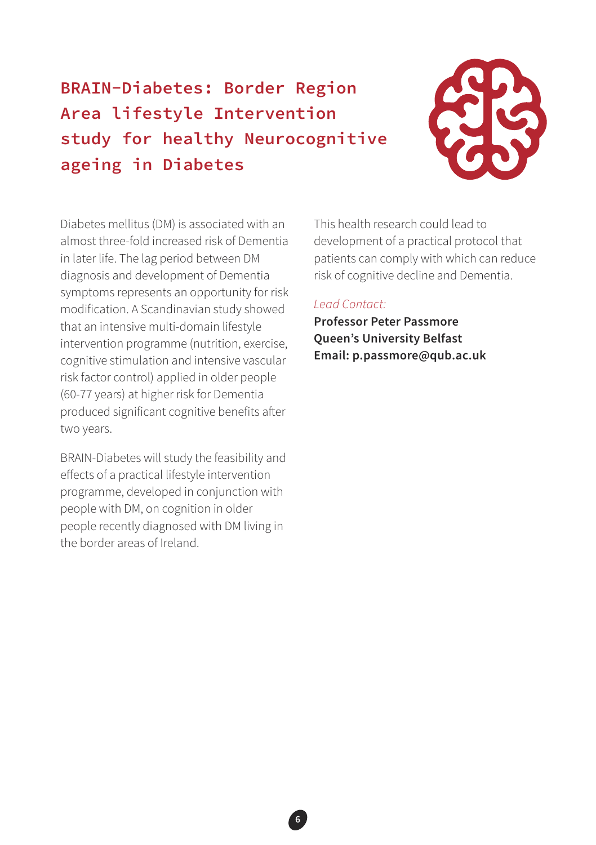## **BRAIN-Diabetes: Border Region Area lifestyle Intervention study for healthy Neurocognitive ageing in Diabetes**



Diabetes mellitus (DM) is associated with an almost three-fold increased risk of Dementia in later life. The lag period between DM diagnosis and development of Dementia symptoms represents an opportunity for risk modification. A Scandinavian study showed that an intensive multi-domain lifestyle intervention programme (nutrition, exercise, cognitive stimulation and intensive vascular risk factor control) applied in older people (60-77 years) at higher risk for Dementia produced significant cognitive benefits after two years.

BRAIN-Diabetes will study the feasibility and effects of a practical lifestyle intervention programme, developed in conjunction with people with DM, on cognition in older people recently diagnosed with DM living in the border areas of Ireland.

This health research could lead to development of a practical protocol that patients can comply with which can reduce risk of cognitive decline and Dementia.

#### *Lead Contact:*

**6**

**Professor Peter Passmore Queen's University Belfast Email: p.passmore@qub.ac.uk**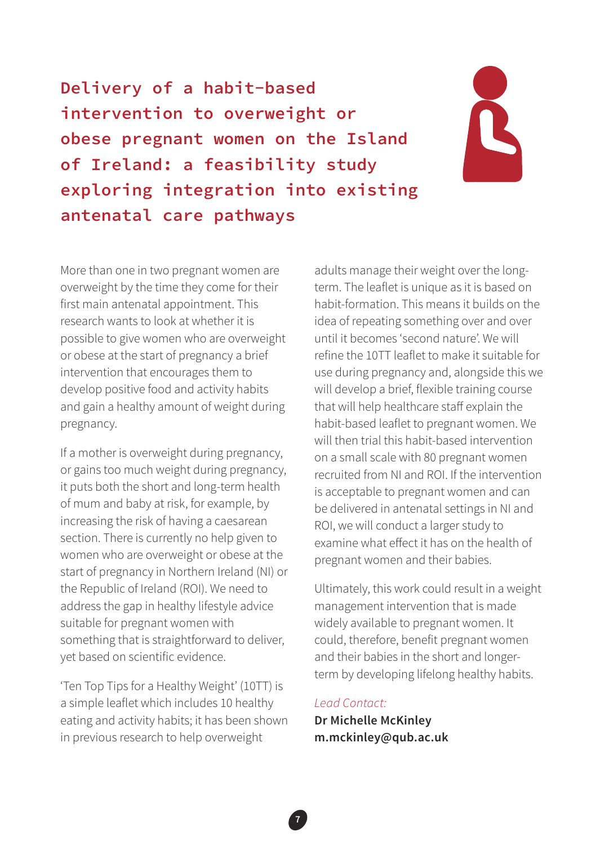**Delivery of a habit-based intervention to overweight or obese pregnant women on the Island of Ireland: a feasibility study exploring integration into existing antenatal care pathways**



More than one in two pregnant women are overweight by the time they come for their first main antenatal appointment. This research wants to look at whether it is possible to give women who are overweight or obese at the start of pregnancy a brief intervention that encourages them to develop positive food and activity habits and gain a healthy amount of weight during pregnancy.

If a mother is overweight during pregnancy, or gains too much weight during pregnancy, it puts both the short and long-term health of mum and baby at risk, for example, by increasing the risk of having a caesarean section. There is currently no help given to women who are overweight or obese at the start of pregnancy in Northern Ireland (NI) or the Republic of Ireland (ROI). We need to address the gap in healthy lifestyle advice suitable for pregnant women with something that is straightforward to deliver, yet based on scientific evidence.

'Ten Top Tips for a Healthy Weight' (10TT) is a simple leaflet which includes 10 healthy eating and activity habits; it has been shown in previous research to help overweight

adults manage their weight over the longterm. The leaflet is unique as it is based on habit-formation. This means it builds on the idea of repeating something over and over until it becomes 'second nature'. We will refine the 10TT leaflet to make it suitable for use during pregnancy and, alongside this we will develop a brief, flexible training course that will help healthcare staff explain the habit-based leaflet to pregnant women. We will then trial this habit-based intervention on a small scale with 80 pregnant women recruited from NI and ROI. If the intervention is acceptable to pregnant women and can be delivered in antenatal settings in NI and ROI, we will conduct a larger study to examine what effect it has on the health of pregnant women and their babies.

Ultimately, this work could result in a weight management intervention that is made widely available to pregnant women. It could, therefore, benefit pregnant women and their babies in the short and longerterm by developing lifelong healthy habits.

#### *Lead Contact:*

**Dr Michelle McKinley m.mckinley@qub.ac.uk**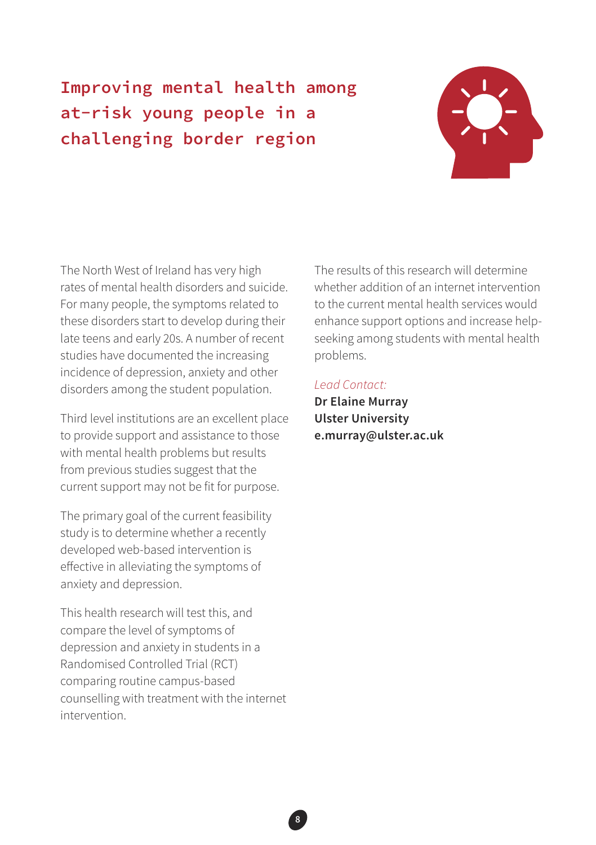## **Improving mental health among at-risk young people in a challenging border region**



The North West of Ireland has very high rates of mental health disorders and suicide. For many people, the symptoms related to these disorders start to develop during their late teens and early 20s. A number of recent studies have documented the increasing incidence of depression, anxiety and other disorders among the student population.

Third level institutions are an excellent place to provide support and assistance to those with mental health problems but results from previous studies suggest that the current support may not be fit for purpose.

The primary goal of the current feasibility study is to determine whether a recently developed web-based intervention is effective in alleviating the symptoms of anxiety and depression.

This health research will test this, and compare the level of symptoms of depression and anxiety in students in a Randomised Controlled Trial (RCT) comparing routine campus-based counselling with treatment with the internet intervention.

The results of this research will determine whether addition of an internet intervention to the current mental health services would enhance support options and increase helpseeking among students with mental health problems.

#### *Lead Contact:*

**Dr Elaine Murray Ulster University e.murray@ulster.ac.uk**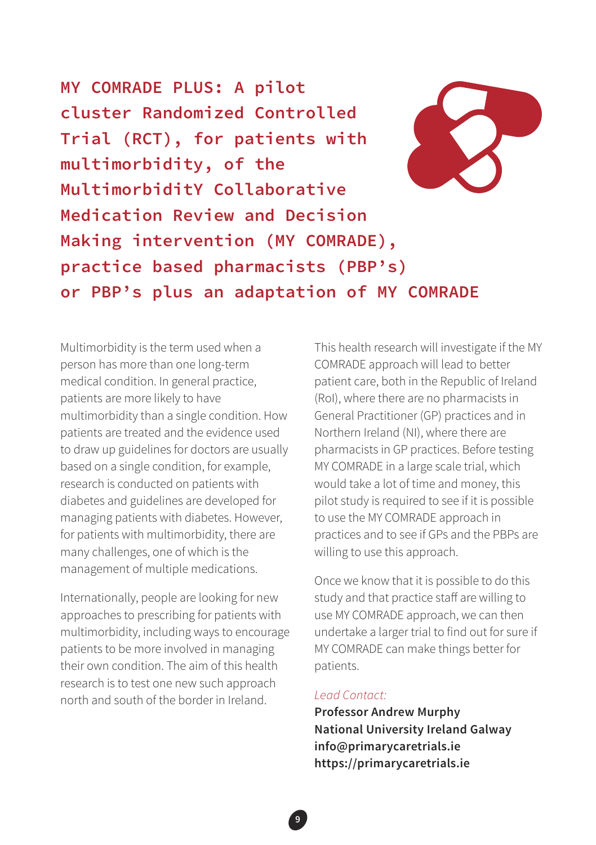**MY COMRADE PLUS: A pilot cluster Randomized Controlled Trial (RCT), for patients with multimorbidity, of the MultimorbiditY Collaborative Medication Review and Decision Making intervention (MY COMRADE), practice based pharmacists (PBP's) or PBP's plus an adaptation of MY COMRADE**

Multimorbidity is the term used when a person has more than one long-term medical condition. In general practice, patients are more likely to have multimorbidity than a single condition. How patients are treated and the evidence used to draw up guidelines for doctors are usually based on a single condition, for example, research is conducted on patients with diabetes and guidelines are developed for managing patients with diabetes. However, for patients with multimorbidity, there are many challenges, one of which is the management of multiple medications.

Internationally, people are looking for new approaches to prescribing for patients with multimorbidity, including ways to encourage patients to be more involved in managing their own condition. The aim of this health research is to test one new such approach north and south of the border in Ireland.

This health research will investigate if the MY COMRADE approach will lead to better patient care, both in the Republic of Ireland (RoI), where there are no pharmacists in General Practitioner (GP) practices and in Northern Ireland (NI), where there are pharmacists in GP practices. Before testing MY COMRADE in a large scale trial, which would take a lot of time and money, this pilot study is required to see if it is possible to use the MY COMRADE approach in practices and to see if GPs and the PBPs are willing to use this approach.

Once we know that it is possible to do this study and that practice staff are willing to use MY COMRADE approach, we can then undertake a larger trial to find out for sure if MY COMRADE can make things better for patients.

#### *Lead Contact:*

**Professor Andrew Murphy National University Ireland Galway info@primarycaretrials.ie https://primarycaretrials.ie**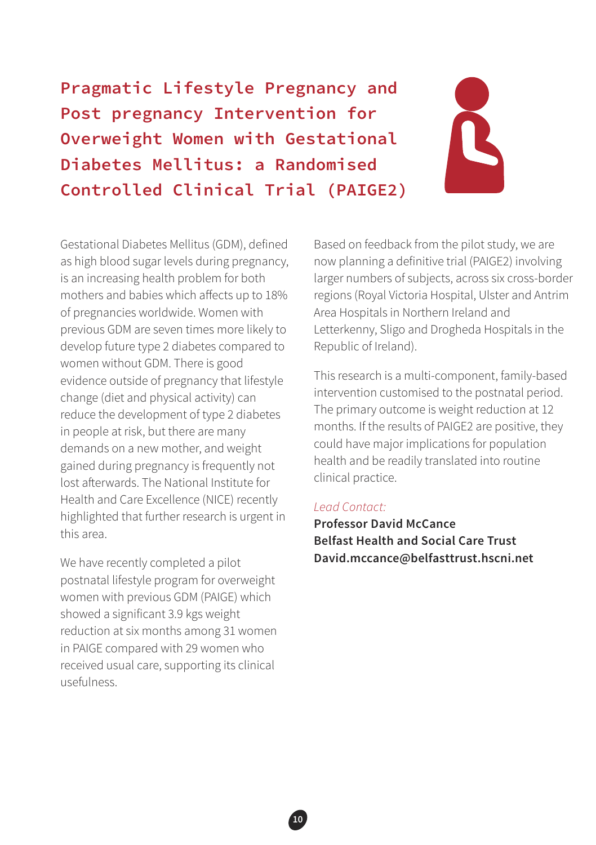**Pragmatic Lifestyle Pregnancy and Post pregnancy Intervention for Overweight Women with Gestational Diabetes Mellitus: a Randomised Controlled Clinical Trial (PAIGE2)**

Gestational Diabetes Mellitus (GDM), defined as high blood sugar levels during pregnancy, is an increasing health problem for both mothers and babies which affects up to 18% of pregnancies worldwide. Women with previous GDM are seven times more likely to develop future type 2 diabetes compared to women without GDM. There is good evidence outside of pregnancy that lifestyle change (diet and physical activity) can reduce the development of type 2 diabetes in people at risk, but there are many demands on a new mother, and weight gained during pregnancy is frequently not lost afterwards. The National Institute for Health and Care Excellence (NICE) recently highlighted that further research is urgent in this area.

We have recently completed a pilot postnatal lifestyle program for overweight women with previous GDM (PAIGE) which showed a significant 3.9 kgs weight reduction at six months among 31 women in PAIGE compared with 29 women who received usual care, supporting its clinical usefulness.

Based on feedback from the pilot study, we are now planning a definitive trial (PAIGE2) involving larger numbers of subjects, across six cross-border regions (Royal Victoria Hospital, Ulster and Antrim Area Hospitals in Northern Ireland and Letterkenny, Sligo and Drogheda Hospitals in the Republic of Ireland).

This research is a multi-component, family-based intervention customised to the postnatal period. The primary outcome is weight reduction at 12 months. If the results of PAIGE2 are positive, they could have major implications for population health and be readily translated into routine clinical practice.

#### *Lead Contact:*

**Professor David McCance Belfast Health and Social Care Trust David.mccance@belfasttrust.hscni.net**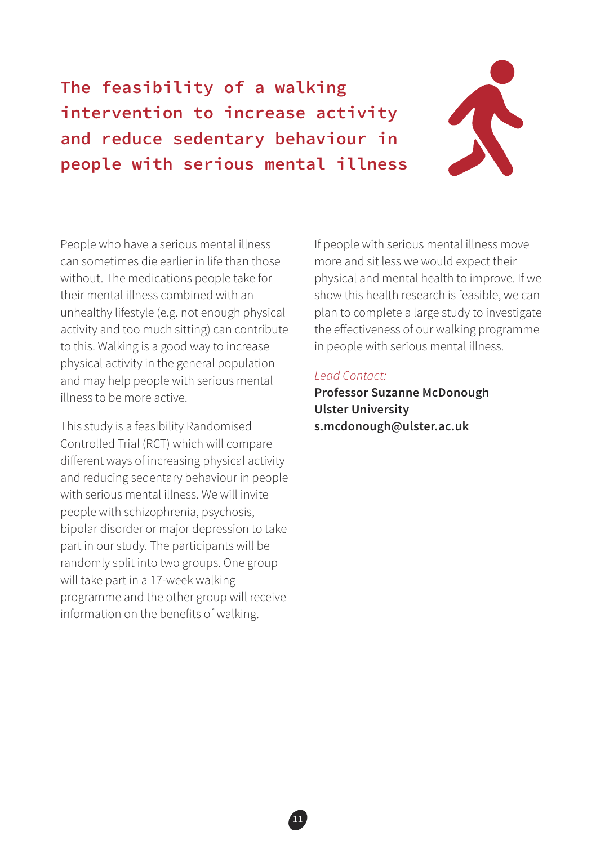**The feasibility of a walking intervention to increase activity and reduce sedentary behaviour in people with serious mental illness**



People who have a serious mental illness can sometimes die earlier in life than those without. The medications people take for their mental illness combined with an unhealthy lifestyle (e.g. not enough physical activity and too much sitting) can contribute to this. Walking is a good way to increase physical activity in the general population and may help people with serious mental illness to be more active.

This study is a feasibility Randomised Controlled Trial (RCT) which will compare different ways of increasing physical activity and reducing sedentary behaviour in people with serious mental illness. We will invite people with schizophrenia, psychosis, bipolar disorder or major depression to take part in our study. The participants will be randomly split into two groups. One group will take part in a 17-week walking programme and the other group will receive information on the benefits of walking.

If people with serious mental illness move more and sit less we would expect their physical and mental health to improve. If we show this health research is feasible, we can plan to complete a large study to investigate the effectiveness of our walking programme in people with serious mental illness.

#### *Lead Contact:*

**Professor Suzanne McDonough Ulster University s.mcdonough@ulster.ac.uk**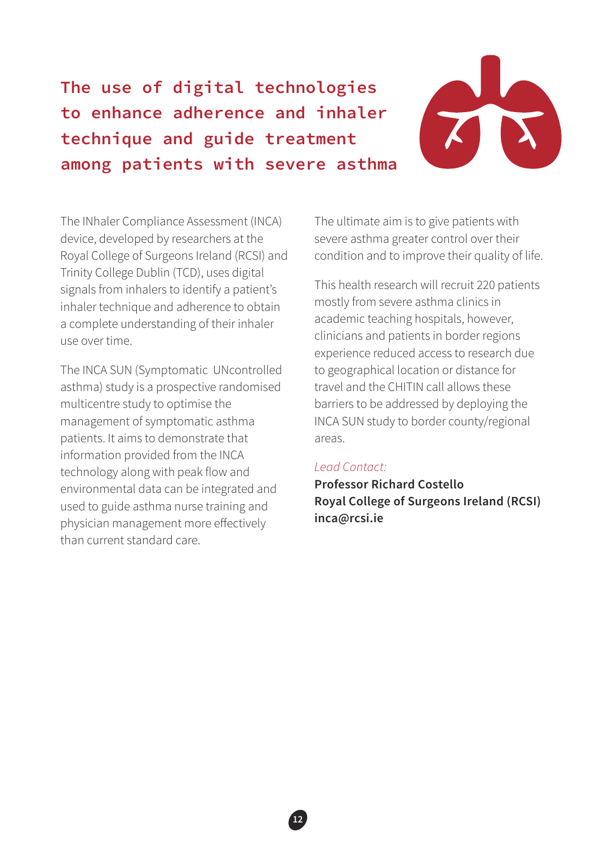## **The use of digital technologies to enhance adherence and inhaler technique and guide treatment among patients with severe asthma**



The INhaler Compliance Assessment (INCA) device, developed by researchers at the Royal College of Surgeons Ireland (RCSI) and Trinity College Dublin (TCD), uses digital signals from inhalers to identify a patient's inhaler technique and adherence to obtain a complete understanding of their inhaler use over time.

The INCA SUN (Symptomatic UNcontrolled asthma) study is a prospective randomised multicentre study to optimise the management of symptomatic asthma patients. It aims to demonstrate that information provided from the INCA technology along with peak flow and environmental data can be integrated and used to guide asthma nurse training and physician management more effectively than current standard care.

The ultimate aim is to give patients with severe asthma greater control over their condition and to improve their quality of life.

This health research will recruit 220 patients mostly from severe asthma clinics in academic teaching hospitals, however, clinicians and patients in border regions experience reduced access to research due to geographical location or distance for travel and the CHITIN call allows these barriers to be addressed by deploying the INCA SUN study to border county/regional areas.

#### *Lead Contact:*

**Professor Richard Costello Royal College of Surgeons Ireland (RCSI) inca@rcsi.ie**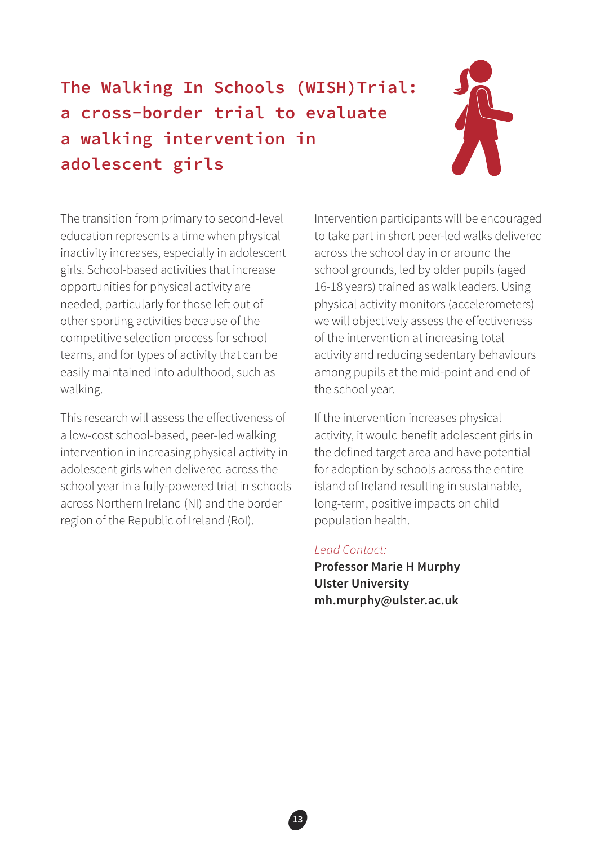# **The Walking In Schools (WISH)Trial: a cross-border trial to evaluate a walking intervention in adolescent girls**



The transition from primary to second-level education represents a time when physical inactivity increases, especially in adolescent girls. School-based activities that increase opportunities for physical activity are needed, particularly for those left out of other sporting activities because of the competitive selection process for school teams, and for types of activity that can be easily maintained into adulthood, such as walking.

This research will assess the effectiveness of a low-cost school-based, peer-led walking intervention in increasing physical activity in adolescent girls when delivered across the school year in a fully-powered trial in schools across Northern Ireland (NI) and the border region of the Republic of Ireland (RoI).

Intervention participants will be encouraged to take part in short peer-led walks delivered across the school day in or around the school grounds, led by older pupils (aged 16-18 years) trained as walk leaders. Using physical activity monitors (accelerometers) we will objectively assess the effectiveness of the intervention at increasing total activity and reducing sedentary behaviours among pupils at the mid-point and end of the school year.

If the intervention increases physical activity, it would benefit adolescent girls in the defined target area and have potential for adoption by schools across the entire island of Ireland resulting in sustainable, long-term, positive impacts on child population health.

#### *Lead Contact:*

**Professor Marie H Murphy Ulster University mh.murphy@ulster.ac.uk**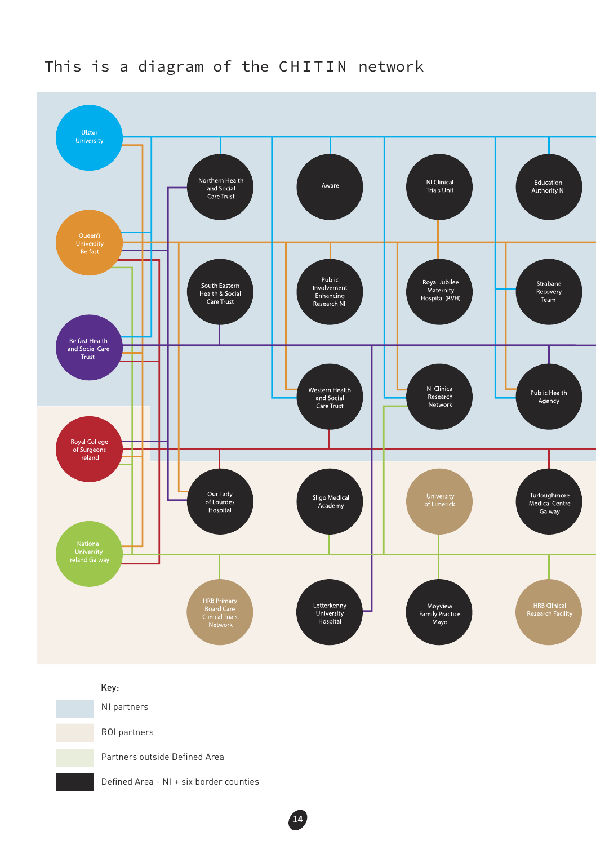

**14**

### This is a diagram of the CHITIN network

#### Key:

NI partners

ROI partners

Partners outside Defined Area

Defined Area - NI + six border counties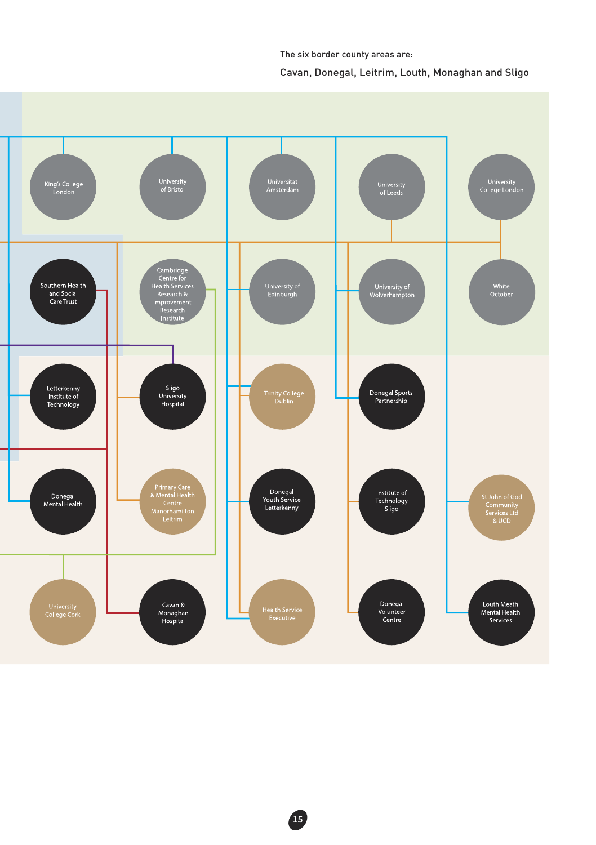Cavan, Donegal, Leitrim, Louth, Monaghan and Sligo The six border county areas are: